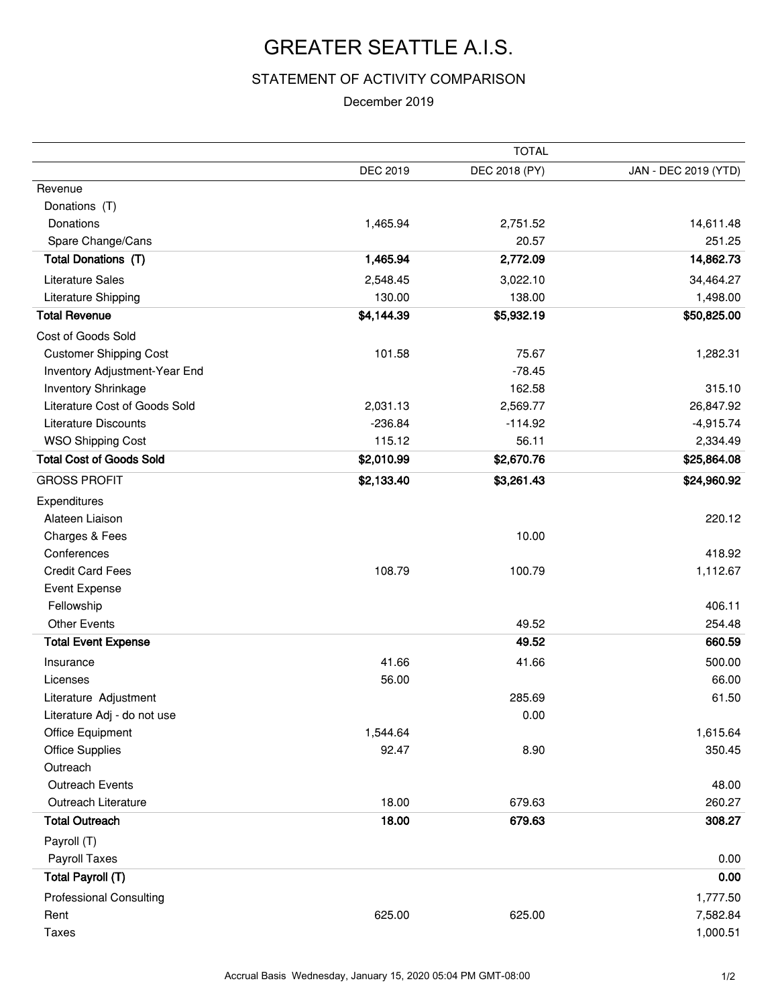## GREATER SEATTLE A.I.S.

## STATEMENT OF ACTIVITY COMPARISON

## December 2019

|                                 |                 | <b>TOTAL</b>  |                      |  |
|---------------------------------|-----------------|---------------|----------------------|--|
|                                 | <b>DEC 2019</b> | DEC 2018 (PY) | JAN - DEC 2019 (YTD) |  |
| Revenue                         |                 |               |                      |  |
| Donations (T)                   |                 |               |                      |  |
| Donations                       | 1,465.94        | 2,751.52      | 14,611.48            |  |
| Spare Change/Cans               |                 | 20.57         | 251.25               |  |
| Total Donations (T)             | 1,465.94        | 2,772.09      | 14,862.73            |  |
| <b>Literature Sales</b>         | 2,548.45        | 3,022.10      | 34,464.27            |  |
| Literature Shipping             | 130.00          | 138.00        | 1,498.00             |  |
| <b>Total Revenue</b>            | \$4,144.39      | \$5,932.19    | \$50,825.00          |  |
| Cost of Goods Sold              |                 |               |                      |  |
| <b>Customer Shipping Cost</b>   | 101.58          | 75.67         | 1,282.31             |  |
| Inventory Adjustment-Year End   |                 | $-78.45$      |                      |  |
| Inventory Shrinkage             |                 | 162.58        | 315.10               |  |
| Literature Cost of Goods Sold   | 2,031.13        | 2,569.77      | 26,847.92            |  |
| <b>Literature Discounts</b>     | $-236.84$       | $-114.92$     | $-4,915.74$          |  |
| <b>WSO Shipping Cost</b>        | 115.12          | 56.11         | 2,334.49             |  |
| <b>Total Cost of Goods Sold</b> | \$2,010.99      | \$2,670.76    | \$25,864.08          |  |
| <b>GROSS PROFIT</b>             | \$2,133.40      | \$3,261.43    | \$24,960.92          |  |
| Expenditures                    |                 |               |                      |  |
| Alateen Liaison                 |                 |               | 220.12               |  |
| Charges & Fees                  |                 | 10.00         |                      |  |
| Conferences                     |                 |               | 418.92               |  |
| <b>Credit Card Fees</b>         | 108.79          | 100.79        | 1,112.67             |  |
| <b>Event Expense</b>            |                 |               |                      |  |
| Fellowship                      |                 |               | 406.11               |  |
| <b>Other Events</b>             |                 | 49.52         | 254.48               |  |
| <b>Total Event Expense</b>      |                 | 49.52         | 660.59               |  |
| Insurance                       | 41.66           | 41.66         | 500.00               |  |
| Licenses                        | 56.00           |               | 66.00                |  |
| Literature Adjustment           |                 | 285.69        | 61.50                |  |
| Literature Adj - do not use     |                 | 0.00          |                      |  |
| <b>Office Equipment</b>         | 1,544.64        |               | 1,615.64             |  |
| <b>Office Supplies</b>          | 92.47           | 8.90          | 350.45               |  |
| Outreach                        |                 |               |                      |  |
| Outreach Events                 |                 |               | 48.00                |  |
| Outreach Literature             | 18.00           | 679.63        | 260.27               |  |
| <b>Total Outreach</b>           | 18.00           | 679.63        | 308.27               |  |
| Payroll (T)                     |                 |               |                      |  |
| Payroll Taxes                   |                 |               | 0.00                 |  |
| Total Payroll (T)               |                 |               | 0.00                 |  |
| <b>Professional Consulting</b>  |                 |               | 1,777.50             |  |
| Rent                            | 625.00          | 625.00        | 7,582.84             |  |
| <b>Taxes</b>                    |                 |               | 1,000.51             |  |